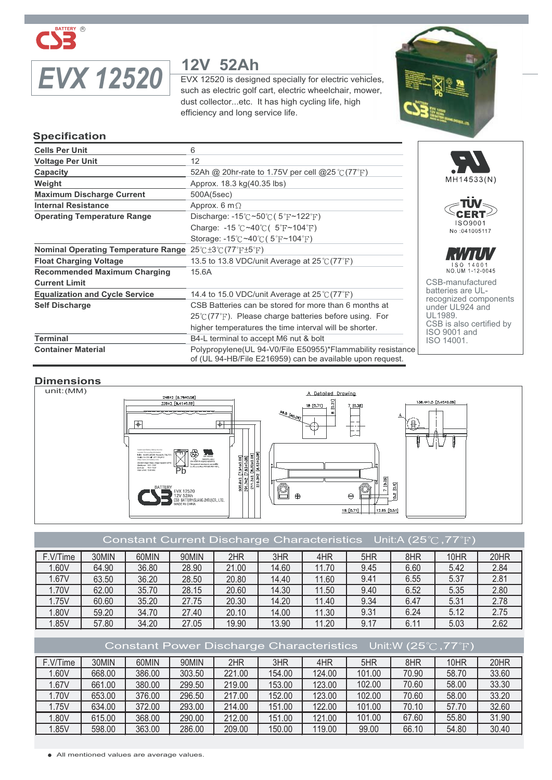

# *EVX 12520* **12V 52Ah**

EVX 12520 is designed specially for electric vehicles, such as electric golf cart, electric wheelchair, mower, dust collector...etc. It has high cycling life, high efficiency and long service life.



#### **Specification**

| <b>Cells Per Unit</b>                      | 6                                                                                                                         |  |  |  |
|--------------------------------------------|---------------------------------------------------------------------------------------------------------------------------|--|--|--|
| <b>Voltage Per Unit</b>                    | 12                                                                                                                        |  |  |  |
| Capacity                                   | 52Ah @ 20hr-rate to 1.75V per cell @25 $\degree$ (77 $\degree$ F)                                                         |  |  |  |
| Weight                                     | Approx. 18.3 kg(40.35 lbs)                                                                                                |  |  |  |
| <b>Maximum Discharge Current</b>           | 500A(5sec)                                                                                                                |  |  |  |
| <b>Internal Resistance</b>                 | Approx. 6 m $\Omega$                                                                                                      |  |  |  |
| <b>Operating Temperature Range</b>         | Discharge: $-15^{\circ}$ C ~50 $\circ$ C (5 $\circ$ F ~122 $\circ$ F)                                                     |  |  |  |
|                                            | Charge: -15 $\degree$ C ~40 $\degree$ C( 5 $\degree$ F ~104 $\degree$ F)                                                  |  |  |  |
|                                            | Storage: $-15^{\circ}$ C ~40 $\circ$ C (5 $\circ$ F ~104 $\circ$ F)                                                       |  |  |  |
| <b>Nominal Operating Temperature Range</b> | $25^{\circ}$ C $\pm 3^{\circ}$ C $(77^{\circ}$ F $\pm 5^{\circ}$ F)                                                       |  |  |  |
| <b>Float Charging Voltage</b>              | 13.5 to 13.8 VDC/unit Average at $25\degree$ (77 $\degree$ F)                                                             |  |  |  |
| <b>Recommended Maximum Charging</b>        | 15.6A                                                                                                                     |  |  |  |
| <b>Current Limit</b>                       |                                                                                                                           |  |  |  |
| <b>Equalization and Cycle Service</b>      | 14.4 to 15.0 VDC/unit Average at 25 ℃ (77°F)                                                                              |  |  |  |
| <b>Self Discharge</b>                      | CSB Batteries can be stored for more than 6 months at                                                                     |  |  |  |
|                                            | $25^{\circ}$ (77 $^{\circ}$ F). Please charge batteries before using. For                                                 |  |  |  |
|                                            | higher temperatures the time interval will be shorter.                                                                    |  |  |  |
| <b>Terminal</b>                            | B4-L terminal to accept M6 nut & bolt                                                                                     |  |  |  |
| <b>Container Material</b>                  | Polypropylene (UL 94-V0/File E50955)*Flammability resistance<br>of (UL 94-HB/File E216959) can be available upon request. |  |  |  |





CSB-manufactured batteries are ULrecognized components under UL924 and under J.<br>UL 1989. CSB is also certified by ISO 9001 and ISO 14001.

#### **Dimensions**



#### Constant Current Discharge Characteristics Unit:A (25 $\degree$ C, 77 $\degree$ F)

| F.V/Time | 30MIN | 60MIN | 90MIN | 2HR   | 3HR   | 4HR   | 5HR  | 8HR  | 10HR | 20HR |
|----------|-------|-------|-------|-------|-------|-------|------|------|------|------|
| .60V     | 64.90 | 36.80 | 28.90 | 21.00 | 14.60 | 11.70 | 9.45 | 6.60 | 5.42 | 2.84 |
| 1.67V    | 63.50 | 36.20 | 28.50 | 20.80 | 14.40 | 11.60 | 9.41 | 6.55 | 5.37 | 2.81 |
| 1.70V    | 62.00 | 35.70 | 28.15 | 20.60 | 14.30 | 11.50 | 9.40 | 6.52 | 5.35 | 2.80 |
| 1.75V    | 60.60 | 35.20 | 27.75 | 20.30 | 14.20 | 11.40 | 9.34 | 6.47 | 5.31 | 2.78 |
| 1.80V    | 59.20 | 34.70 | 27.40 | 20.10 | 14.00 | 11.30 | 9.31 | 6.24 | 5.12 | 2.75 |
| 1.85V    | 57.80 | 34.20 | 27.05 | 19.90 | 13.90 | 11.20 | 9.17 | 6.11 | 5.03 | 2.62 |

#### Constant Power Discharge Characteristics Unit:W (25°C, 77°F) F.V/Time | 30MIN | 60MIN | 90MIN | 2HR | 3HR | 4HR | 5HR | 8HR | 10HR | 20HR 1.60V | 668.00 | 386.00 | 303.50 | 221.00 | 154.00 | 124.00 | 101.00 | 70.90 | 58.70 | 33.60 1.67V | 661.00 | 380.00 | 299.50 | 219.00 | 153.00 | 123.00 | 102.00 | 70.60 | 58.00 | 33.30 1.70V | 653.00 | 376.00 | 296.50 | 217.00 | 152.00 | 123.00 | 102.00 | 70.60 | 58.00 | 33.20 1.75V | 634.00 | 372.00 | 293.00 | 214.00 | 151.00 | 122.00 | 101.00 | 70.10 | 57.70 | 32.60 1.80V | 615.00 | 368.00 | 290.00 | 212.00 | 151.00 | 121.00 | 101.00 | 67.60 | 55.80 | 31.90 1.85V | 598.00 | 363.00 | 286.00 | 209.00 | 150.00 | 119.00 | 99.00 | 66.10 | 54.80 | 30.40

All mentioned values are average values.